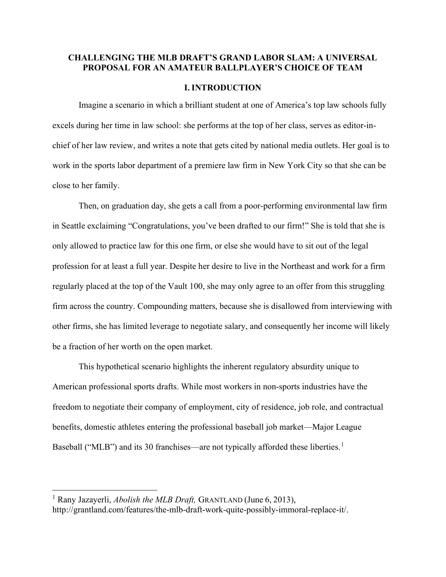# CHALLENGING THE MLB DRAFT'S GRAND LABOR SLAM: A UNIVERSAL PROPOSAL FOR AN AMATEUR BALLPLAYER'S CHOICE OF TEAM

#### I. INTRODUCTION

Imagine a scenario in which a brilliant student at one of America's top law schools fully excels during her time in law school: she performs at the top of her class, serves as editor-inchief of her law review, and writes a note that gets cited by national media outlets. Her goal is to work in the sports labor department of a premiere law firm in New York City so that she can be close to her family.

 Then, on graduation day, she gets a call from a poor-performing environmental law firm in Seattle exclaiming "Congratulations, you've been drafted to our firm!" She is told that she is only allowed to practice law for this one firm, or else she would have to sit out of the legal profession for at least a full year. Despite her desire to live in the Northeast and work for a firm regularly placed at the top of the Vault 100, she may only agree to an offer from this struggling firm across the country. Compounding matters, because she is disallowed from interviewing with other firms, she has limited leverage to negotiate salary, and consequently her income will likely be a fraction of her worth on the open market.

 This hypothetical scenario highlights the inherent regulatory absurdity unique to American professional sports drafts. While most workers in non-sports industries have the freedom to negotiate their company of employment, city of residence, job role, and contractual benefits, domestic athletes entering the professional baseball job market—Major League Baseball ("MLB") and its 30 franchises—are not typically afforded these liberties.<sup>1</sup>

<sup>&</sup>lt;sup>1</sup> Rany Jazayerli, *Abolish the MLB Draft*, GRANTLAND (June 6, 2013), http://grantland.com/features/the-mlb-draft-work-quite-possibly-immoral-replace-it/.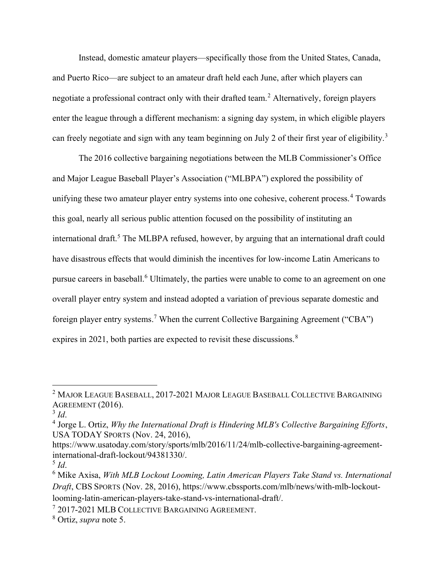Instead, domestic amateur players—specifically those from the United States, Canada, and Puerto Rico—are subject to an amateur draft held each June, after which players can negotiate a professional contract only with their drafted team.<sup>2</sup> Alternatively, foreign players enter the league through a different mechanism: a signing day system, in which eligible players can freely negotiate and sign with any team beginning on July 2 of their first year of eligibility.<sup>3</sup>

 The 2016 collective bargaining negotiations between the MLB Commissioner's Office and Major League Baseball Player's Association ("MLBPA") explored the possibility of unifying these two amateur player entry systems into one cohesive, coherent process.<sup>4</sup> Towards this goal, nearly all serious public attention focused on the possibility of instituting an international draft.<sup>5</sup> The MLBPA refused, however, by arguing that an international draft could have disastrous effects that would diminish the incentives for low-income Latin Americans to pursue careers in baseball.<sup>6</sup> Ultimately, the parties were unable to come to an agreement on one overall player entry system and instead adopted a variation of previous separate domestic and foreign player entry systems.<sup>7</sup> When the current Collective Bargaining Agreement ("CBA") expires in 2021, both parties are expected to revisit these discussions.<sup>8</sup>

<sup>2</sup> MAJOR LEAGUE BASEBALL, 2017-2021 MAJOR LEAGUE BASEBALL COLLECTIVE BARGAINING AGREEMENT (2016).

 $3$  Id.

 $<sup>4</sup>$  Jorge L. Ortiz, Why the International Draft is Hindering MLB's Collective Bargaining Efforts,</sup> USA TODAY SPORTS (Nov. 24, 2016),

https://www.usatoday.com/story/sports/mlb/2016/11/24/mlb-collective-bargaining-agreementinternational-draft-lockout/94381330/.

 $^5$  Id.

<sup>&</sup>lt;sup>6</sup> Mike Axisa, With MLB Lockout Looming, Latin American Players Take Stand vs. International Draft, CBS SPORTS (Nov. 28, 2016), https://www.cbssports.com/mlb/news/with-mlb-lockoutlooming-latin-american-players-take-stand-vs-international-draft/.

<sup>7</sup> 2017-2021 MLB COLLECTIVE BARGAINING AGREEMENT.

 $8$  Ortiz, *supra* note 5.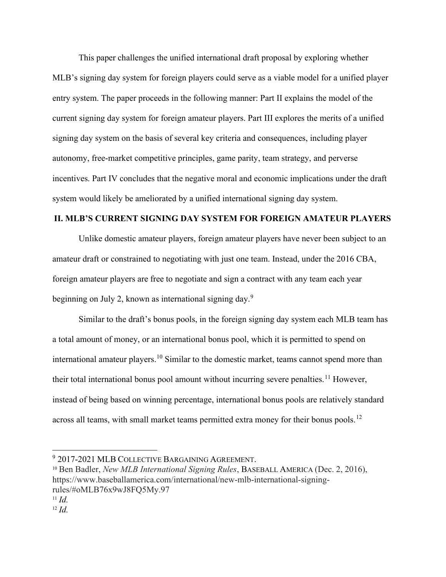This paper challenges the unified international draft proposal by exploring whether MLB's signing day system for foreign players could serve as a viable model for a unified player entry system. The paper proceeds in the following manner: Part II explains the model of the current signing day system for foreign amateur players. Part III explores the merits of a unified signing day system on the basis of several key criteria and consequences, including player autonomy, free-market competitive principles, game parity, team strategy, and perverse incentives. Part IV concludes that the negative moral and economic implications under the draft system would likely be ameliorated by a unified international signing day system.

#### II. MLB'S CURRENT SIGNING DAY SYSTEM FOR FOREIGN AMATEUR PLAYERS

Unlike domestic amateur players, foreign amateur players have never been subject to an amateur draft or constrained to negotiating with just one team. Instead, under the 2016 CBA, foreign amateur players are free to negotiate and sign a contract with any team each year beginning on July 2, known as international signing day.<sup>9</sup>

 Similar to the draft's bonus pools, in the foreign signing day system each MLB team has a total amount of money, or an international bonus pool, which it is permitted to spend on international amateur players.<sup>10</sup> Similar to the domestic market, teams cannot spend more than their total international bonus pool amount without incurring severe penalties.<sup>11</sup> However, instead of being based on winning percentage, international bonus pools are relatively standard across all teams, with small market teams permitted extra money for their bonus pools.<sup>12</sup>

<sup>9</sup> 2017-2021 MLB COLLECTIVE BARGAINING AGREEMENT.

<sup>&</sup>lt;sup>10</sup> Ben Badler, New MLB International Signing Rules, BASEBALL AMERICA (Dec. 2, 2016), https://www.baseballamerica.com/international/new-mlb-international-signingrules/#oMLB76x9wJ8FQ5My.97

 $11$  *Id.* 

 $12$  *Id.*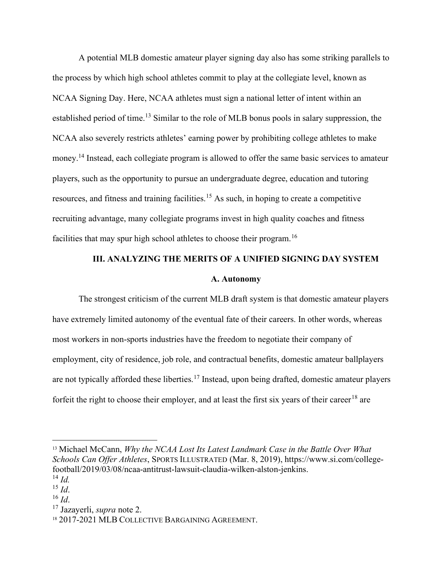A potential MLB domestic amateur player signing day also has some striking parallels to the process by which high school athletes commit to play at the collegiate level, known as NCAA Signing Day. Here, NCAA athletes must sign a national letter of intent within an established period of time.<sup>13</sup> Similar to the role of MLB bonus pools in salary suppression, the NCAA also severely restricts athletes' earning power by prohibiting college athletes to make money.<sup>14</sup> Instead, each collegiate program is allowed to offer the same basic services to amateur players, such as the opportunity to pursue an undergraduate degree, education and tutoring resources, and fitness and training facilities.<sup>15</sup> As such, in hoping to create a competitive recruiting advantage, many collegiate programs invest in high quality coaches and fitness facilities that may spur high school athletes to choose their program.<sup>16</sup>

# III. ANALYZING THE MERITS OF A UNIFIED SIGNING DAY SYSTEM

#### A. Autonomy

The strongest criticism of the current MLB draft system is that domestic amateur players have extremely limited autonomy of the eventual fate of their careers. In other words, whereas most workers in non-sports industries have the freedom to negotiate their company of employment, city of residence, job role, and contractual benefits, domestic amateur ballplayers are not typically afforded these liberties.<sup>17</sup> Instead, upon being drafted, domestic amateur players forfeit the right to choose their employer, and at least the first six years of their career<sup>18</sup> are

 $13$  Michael McCann, Why the NCAA Lost Its Latest Landmark Case in the Battle Over What Schools Can Offer Athletes, SPORTS ILLUSTRATED (Mar. 8, 2019), https://www.si.com/collegefootball/2019/03/08/ncaa-antitrust-lawsuit-claudia-wilken-alston-jenkins.

 $^{14}$  *Id.* 

 $^{15}$  *Id.* 

 $16$  *Id.* 

<sup>&</sup>lt;sup>17</sup> Jazayerli, *supra* note 2.

<sup>18</sup> 2017-2021 MLB COLLECTIVE BARGAINING AGREEMENT.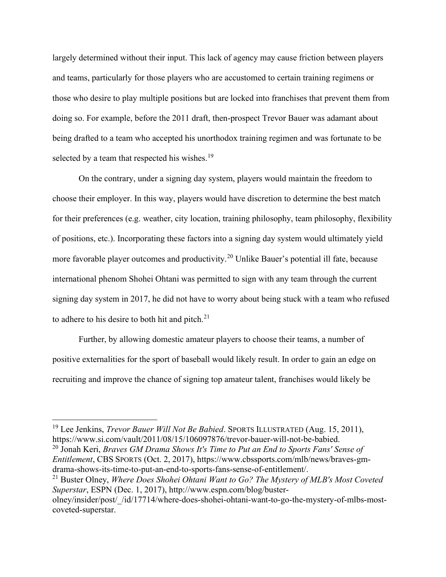largely determined without their input. This lack of agency may cause friction between players and teams, particularly for those players who are accustomed to certain training regimens or those who desire to play multiple positions but are locked into franchises that prevent them from doing so. For example, before the 2011 draft, then-prospect Trevor Bauer was adamant about being drafted to a team who accepted his unorthodox training regimen and was fortunate to be selected by a team that respected his wishes.<sup>19</sup>

 On the contrary, under a signing day system, players would maintain the freedom to choose their employer. In this way, players would have discretion to determine the best match for their preferences (e.g. weather, city location, training philosophy, team philosophy, flexibility of positions, etc.). Incorporating these factors into a signing day system would ultimately yield more favorable player outcomes and productivity.<sup>20</sup> Unlike Bauer's potential ill fate, because international phenom Shohei Ohtani was permitted to sign with any team through the current signing day system in 2017, he did not have to worry about being stuck with a team who refused to adhere to his desire to both hit and pitch. $21$ 

 Further, by allowing domestic amateur players to choose their teams, a number of positive externalities for the sport of baseball would likely result. In order to gain an edge on recruiting and improve the chance of signing top amateur talent, franchises would likely be

 $^{20}$  Jonah Keri, *Braves GM Drama Shows It's Time to Put an End to Sports Fans' Sense of* Entitlement, CBS SPORTS (Oct. 2, 2017), https://www.cbssports.com/mlb/news/braves-gmdrama-shows-its-time-to-put-an-end-to-sports-fans-sense-of-entitlement/.

<sup>&</sup>lt;sup>19</sup> Lee Jenkins, *Trevor Bauer Will Not Be Babied*. SPORTS ILLUSTRATED (Aug. 15, 2011), https://www.si.com/vault/2011/08/15/106097876/trevor-bauer-will-not-be-babied.

<sup>&</sup>lt;sup>21</sup> Buster Olney, *Where Does Shohei Ohtani Want to Go? The Mystery of MLB's Most Coveted* Superstar, ESPN (Dec. 1, 2017), http://www.espn.com/blog/buster-

olney/insider/post/\_/id/17714/where-does-shohei-ohtani-want-to-go-the-mystery-of-mlbs-mostcoveted-superstar.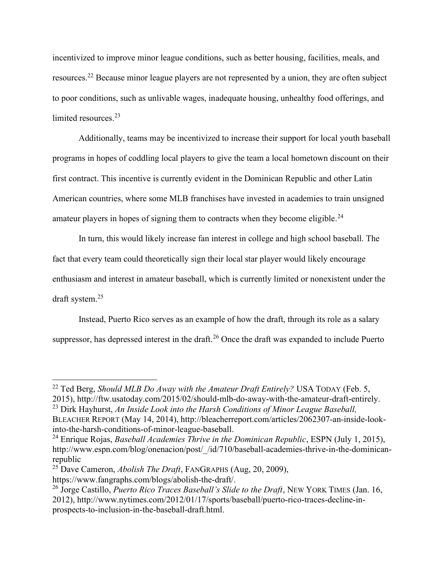incentivized to improve minor league conditions, such as better housing, facilities, meals, and resources.<sup>22</sup> Because minor league players are not represented by a union, they are often subject to poor conditions, such as unlivable wages, inadequate housing, unhealthy food offerings, and limited resources.<sup>23</sup>

 Additionally, teams may be incentivized to increase their support for local youth baseball programs in hopes of coddling local players to give the team a local hometown discount on their first contract. This incentive is currently evident in the Dominican Republic and other Latin American countries, where some MLB franchises have invested in academies to train unsigned amateur players in hopes of signing them to contracts when they become eligible.<sup>24</sup>

 In turn, this would likely increase fan interest in college and high school baseball. The fact that every team could theoretically sign their local star player would likely encourage enthusiasm and interest in amateur baseball, which is currently limited or nonexistent under the draft system.<sup>25</sup>

 Instead, Puerto Rico serves as an example of how the draft, through its role as a salary suppressor, has depressed interest in the draft.<sup>26</sup> Once the draft was expanded to include Puerto

<sup>&</sup>lt;sup>22</sup> Ted Berg, *Should MLB Do Away with the Amateur Draft Entirely*? USA TODAY (Feb. 5, 2015), http://ftw.usatoday.com/2015/02/should-mlb-do-away-with-the-amateur-draft-entirely.  $23$  Dirk Hayhurst, An Inside Look into the Harsh Conditions of Minor League Baseball, BLEACHER REPORT (May 14, 2014), http://bleacherreport.com/articles/2062307-an-inside-lookinto-the-harsh-conditions-of-minor-league-baseball.

<sup>&</sup>lt;sup>24</sup> Enrique Rojas, *Baseball Academies Thrive in the Dominican Republic*, ESPN (July 1, 2015), http://www.espn.com/blog/onenacion/post/ /id/710/baseball-academies-thrive-in-the-dominicanrepublic

<sup>&</sup>lt;sup>25</sup> Dave Cameron, *Abolish The Draft*, FANGRAPHS (Aug, 20, 2009), https://www.fangraphs.com/blogs/abolish-the-draft/.

<sup>&</sup>lt;sup>26</sup> Jorge Castillo, *Puerto Rico Traces Baseball's Slide to the Draft*, NEW YORK TIMES (Jan. 16, 2012), http://www.nytimes.com/2012/01/17/sports/baseball/puerto-rico-traces-decline-inprospects-to-inclusion-in-the-baseball-draft.html.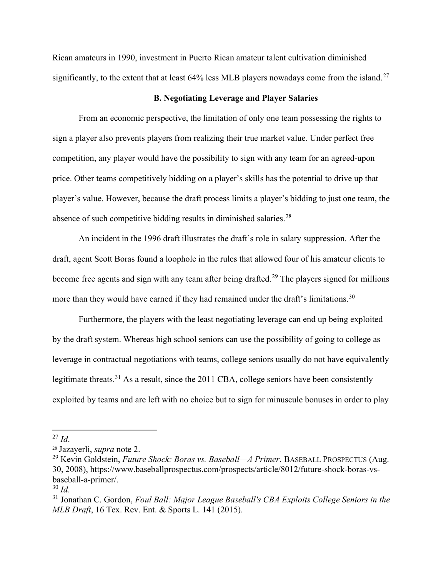Rican amateurs in 1990, investment in Puerto Rican amateur talent cultivation diminished significantly, to the extent that at least  $64\%$  less MLB players nowadays come from the island.<sup>27</sup>

#### B. Negotiating Leverage and Player Salaries

From an economic perspective, the limitation of only one team possessing the rights to sign a player also prevents players from realizing their true market value. Under perfect free competition, any player would have the possibility to sign with any team for an agreed-upon price. Other teams competitively bidding on a player's skills has the potential to drive up that player's value. However, because the draft process limits a player's bidding to just one team, the absence of such competitive bidding results in diminished salaries.<sup>28</sup>

 An incident in the 1996 draft illustrates the draft's role in salary suppression. After the draft, agent Scott Boras found a loophole in the rules that allowed four of his amateur clients to become free agents and sign with any team after being drafted.<sup>29</sup> The players signed for millions more than they would have earned if they had remained under the draft's limitations.<sup>30</sup>

 Furthermore, the players with the least negotiating leverage can end up being exploited by the draft system. Whereas high school seniors can use the possibility of going to college as leverage in contractual negotiations with teams, college seniors usually do not have equivalently legitimate threats.<sup>31</sup> As a result, since the 2011 CBA, college seniors have been consistently exploited by teams and are left with no choice but to sign for minuscule bonuses in order to play

 $^{27}$  Id.

<sup>28</sup> Jazayerli, supra note 2.

<sup>&</sup>lt;sup>29</sup> Kevin Goldstein, *Future Shock: Boras vs. Baseball—A Primer*. BASEBALL PROSPECTUS (Aug. 30, 2008), https://www.baseballprospectus.com/prospects/article/8012/future-shock-boras-vsbaseball-a-primer/.

 $30$  Id.

 $31$  Jonathan C. Gordon, Foul Ball: Major League Baseball's CBA Exploits College Seniors in the MLB Draft, 16 Tex. Rev. Ent. & Sports L. 141 (2015).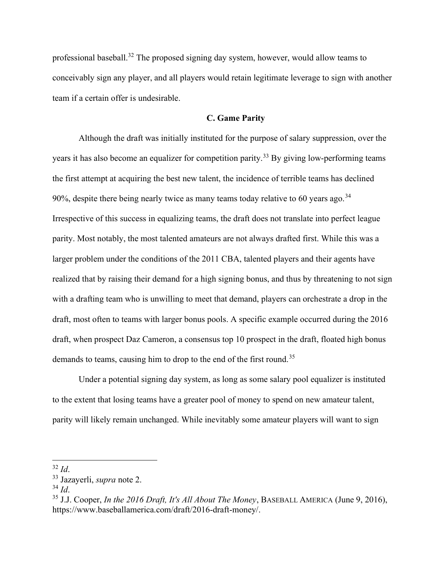professional baseball.<sup>32</sup> The proposed signing day system, however, would allow teams to conceivably sign any player, and all players would retain legitimate leverage to sign with another team if a certain offer is undesirable.

# C. Game Parity

Although the draft was initially instituted for the purpose of salary suppression, over the years it has also become an equalizer for competition parity.<sup>33</sup> By giving low-performing teams the first attempt at acquiring the best new talent, the incidence of terrible teams has declined 90%, despite there being nearly twice as many teams today relative to 60 years ago.<sup>34</sup> Irrespective of this success in equalizing teams, the draft does not translate into perfect league parity. Most notably, the most talented amateurs are not always drafted first. While this was a larger problem under the conditions of the 2011 CBA, talented players and their agents have realized that by raising their demand for a high signing bonus, and thus by threatening to not sign with a drafting team who is unwilling to meet that demand, players can orchestrate a drop in the draft, most often to teams with larger bonus pools. A specific example occurred during the 2016 draft, when prospect Daz Cameron, a consensus top 10 prospect in the draft, floated high bonus demands to teams, causing him to drop to the end of the first round.<sup>35</sup>

 Under a potential signing day system, as long as some salary pool equalizer is instituted to the extent that losing teams have a greater pool of money to spend on new amateur talent, parity will likely remain unchanged. While inevitably some amateur players will want to sign

 $32$  Id.

<sup>33</sup> Jazayerli, supra note 2.

 $34$  Id.

 $35$  J.J. Cooper, In the 2016 Draft, It's All About The Money, BASEBALL AMERICA (June 9, 2016), https://www.baseballamerica.com/draft/2016-draft-money/.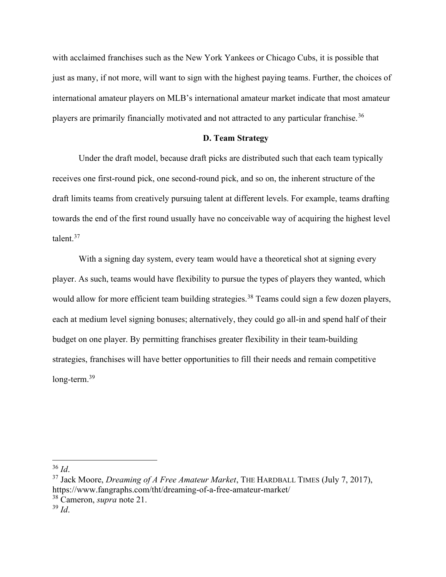with acclaimed franchises such as the New York Yankees or Chicago Cubs, it is possible that just as many, if not more, will want to sign with the highest paying teams. Further, the choices of international amateur players on MLB's international amateur market indicate that most amateur players are primarily financially motivated and not attracted to any particular franchise.<sup>36</sup>

# D. Team Strategy

Under the draft model, because draft picks are distributed such that each team typically receives one first-round pick, one second-round pick, and so on, the inherent structure of the draft limits teams from creatively pursuing talent at different levels. For example, teams drafting towards the end of the first round usually have no conceivable way of acquiring the highest level talent.<sup>37</sup>

 With a signing day system, every team would have a theoretical shot at signing every player. As such, teams would have flexibility to pursue the types of players they wanted, which would allow for more efficient team building strategies.<sup>38</sup> Teams could sign a few dozen players, each at medium level signing bonuses; alternatively, they could go all-in and spend half of their budget on one player. By permitting franchises greater flexibility in their team-building strategies, franchises will have better opportunities to fill their needs and remain competitive long-term.<sup>39</sup>

 $36$  Id.

 $37$  Jack Moore, *Dreaming of A Free Amateur Market*, THE HARDBALL TIMES (July 7, 2017), https://www.fangraphs.com/tht/dreaming-of-a-free-amateur-market/

 $38$  Cameron, *supra* note 21.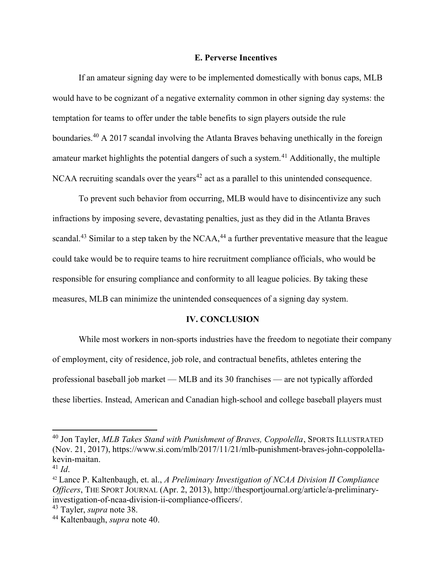# E. Perverse Incentives

 If an amateur signing day were to be implemented domestically with bonus caps, MLB would have to be cognizant of a negative externality common in other signing day systems: the temptation for teams to offer under the table benefits to sign players outside the rule boundaries.<sup>40</sup> A 2017 scandal involving the Atlanta Braves behaving unethically in the foreign amateur market highlights the potential dangers of such a system.<sup>41</sup> Additionally, the multiple NCAA recruiting scandals over the years<sup> $42$ </sup> act as a parallel to this unintended consequence.

 To prevent such behavior from occurring, MLB would have to disincentivize any such infractions by imposing severe, devastating penalties, just as they did in the Atlanta Braves scandal.<sup>43</sup> Similar to a step taken by the NCAA,<sup>44</sup> a further preventative measure that the league could take would be to require teams to hire recruitment compliance officials, who would be responsible for ensuring compliance and conformity to all league policies. By taking these measures, MLB can minimize the unintended consequences of a signing day system.

#### IV. CONCLUSION

While most workers in non-sports industries have the freedom to negotiate their company of employment, city of residence, job role, and contractual benefits, athletes entering the professional baseball job market — MLB and its 30 franchises — are not typically afforded these liberties. Instead, American and Canadian high-school and college baseball players must

 $^{40}$  Jon Tayler, MLB Takes Stand with Punishment of Braves, Coppolella, SPORTS ILLUSTRATED (Nov. 21, 2017), https://www.si.com/mlb/2017/11/21/mlb-punishment-braves-john-coppolellakevin-maitan.

 $^{41}$  Id.

 $42$  Lance P. Kaltenbaugh, et. al., A Preliminary Investigation of NCAA Division II Compliance Officers, THE SPORT JOURNAL (Apr. 2, 2013), http://thesportjournal.org/article/a-preliminaryinvestigation-of-ncaa-division-ii-compliance-officers/.

<sup>&</sup>lt;sup>43</sup> Tayler, *supra* note 38.

<sup>&</sup>lt;sup>44</sup> Kaltenbaugh, *supra* note 40.